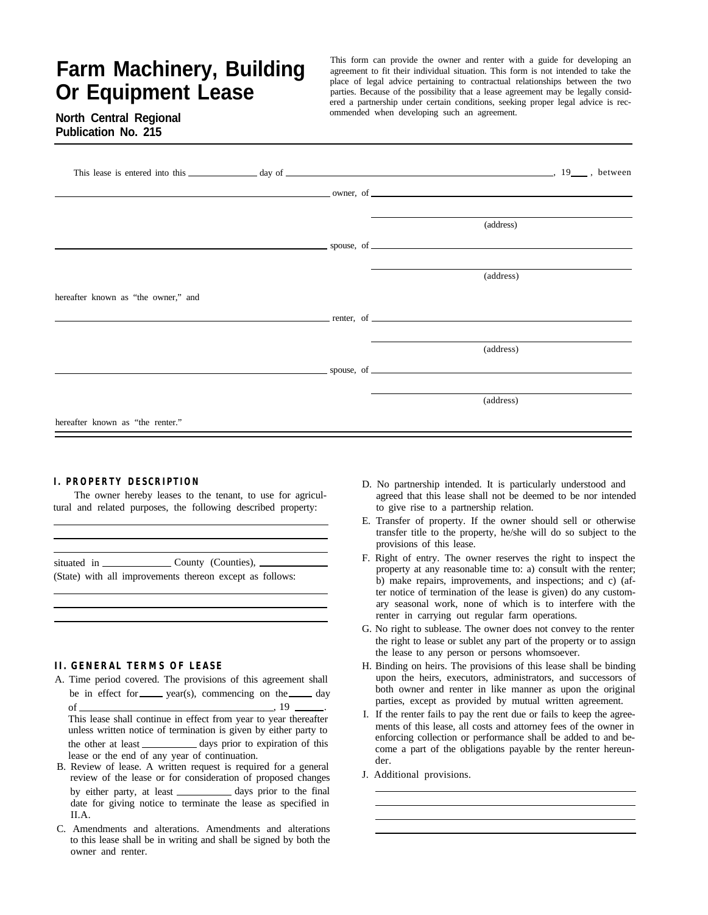# **Farm Machinery, Building Or Equipment Lease**

This form can provide the owner and renter with a guide for developing an agreement to fit their individual situation. This form is not intended to take the place of legal advice pertaining to contractual relationships between the two parties. Because of the possibility that a lease agreement may be legally considered a partnership under certain conditions, seeking proper legal advice is recommended when developing such an agreement.

## **North Central Regional Publication No. 215**

|                                     |  | owner, of <u>contract and the set of the set of the set of the set of the set of the set of the set of the set of the set of the set of the set of the set of the set of the set of the set of the set of the set of the set of </u> |  |
|-------------------------------------|--|--------------------------------------------------------------------------------------------------------------------------------------------------------------------------------------------------------------------------------------|--|
|                                     |  | (address)                                                                                                                                                                                                                            |  |
|                                     |  | $\sim$ spouse, of $\sim$                                                                                                                                                                                                             |  |
|                                     |  | (address)                                                                                                                                                                                                                            |  |
| hereafter known as "the owner," and |  |                                                                                                                                                                                                                                      |  |
|                                     |  | <b>Example 2.1 Second League Contract Contract Contract Contract Contract Contract Contract Contract Contract Contract Contract Contract Contract Contract Contract Contract Contract Contract Contract Contract Contract Contra</b> |  |
|                                     |  | (address)                                                                                                                                                                                                                            |  |
|                                     |  | $\sim$ spouse, of $\sim$                                                                                                                                                                                                             |  |
|                                     |  | (address)                                                                                                                                                                                                                            |  |
| hereafter known as "the renter."    |  |                                                                                                                                                                                                                                      |  |

#### **I. PROPERTY DESCRIPTION**

The owner hereby leases to the tenant, to use for agricultural and related purposes, the following described property:

| situated in | County (Counties),                                       |
|-------------|----------------------------------------------------------|
|             | (State) with all improvements thereon except as follows: |

#### **II. GENERAL TERMS OF LEASE**

- A. Time period covered. The provisions of this agreement shall be in effect for  $\frac{1}{\sqrt{2\pi}} \text{ (s)}$ , commencing on the  $\frac{1}{\sqrt{2\pi}} \text{ (s)}$ of  $\frac{19}{2}$ This lease shall continue in effect from year to year thereafter unless written notice of termination is given by either party to the other at least \_\_\_\_\_\_\_\_\_\_\_ days prior to expiration of this lease or the end of any year of continuation.
- B. Review of lease. A written request is required for a general review of the lease or for consideration of proposed changes by either party, at least \_\_\_\_\_\_\_\_\_\_ days prior to the final date for giving notice to terminate the lease as specified in II.A.
- C. Amendments and alterations. Amendments and alterations to this lease shall be in writing and shall be signed by both the owner and renter.
- D. No partnership intended. It is particularly understood and agreed that this lease shall not be deemed to be nor intended to give rise to a partnership relation.
- E. Transfer of property. If the owner should sell or otherwise transfer title to the property, he/she will do so subject to the provisions of this lease.
- F. Right of entry. The owner reserves the right to inspect the property at any reasonable time to: a) consult with the renter; b) make repairs, improvements, and inspections; and c) (after notice of termination of the lease is given) do any customary seasonal work, none of which is to interfere with the renter in carrying out regular farm operations.
- G. No right to sublease. The owner does not convey to the renter the right to lease or sublet any part of the property or to assign the lease to any person or persons whomsoever.
- H. Binding on heirs. The provisions of this lease shall be binding upon the heirs, executors, administrators, and successors of both owner and renter in like manner as upon the original parties, except as provided by mutual written agreement.
- I. If the renter fails to pay the rent due or fails to keep the agreements of this lease, all costs and attorney fees of the owner in enforcing collection or performance shall be added to and become a part of the obligations payable by the renter hereunder.
- J. Additional provisions.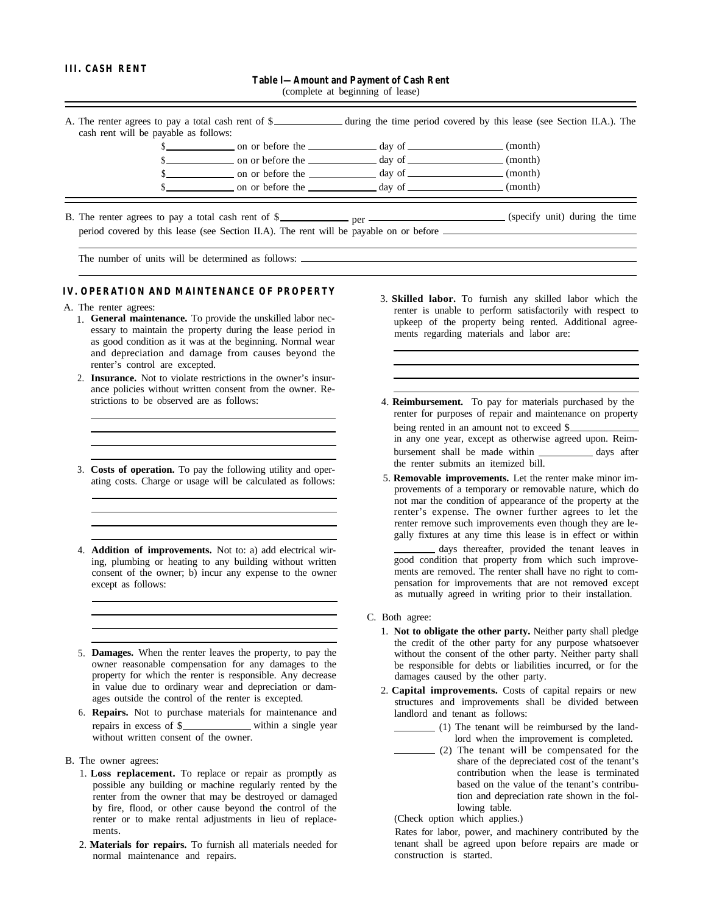#### **III. CASH RENT**

**Table l—Amount and Payment of Cash Rent**

(complete at beginning of lease)

| cash rent will be payable as follows: |                                                          | A. The renter agrees to pay a total cash rent of \$_____________ during the time period covered by this lease (see Section II.A.). The |  |
|---------------------------------------|----------------------------------------------------------|----------------------------------------------------------------------------------------------------------------------------------------|--|
|                                       |                                                          | (month)                                                                                                                                |  |
|                                       | on or before the <u>____________</u> day of ____________ | (month)                                                                                                                                |  |
|                                       | on or before the <u>same day</u> of <u>security</u>      | (month)                                                                                                                                |  |
|                                       |                                                          | (month)                                                                                                                                |  |

B. The renter agrees to pay a total cash rent of \$\_\_\_\_\_\_\_\_\_\_\_ per \_\_\_\_\_\_\_\_\_\_\_\_\_\_\_ (specify unit) during the time period covered by this lease (see Section II.A). The rent will be payable on or before

The number of units will be determined as follows:  $\equiv$ 

### **IV. OPERATION AND MAINTENANCE OF PROPERTY**

- A. The renter agrees:
	- 1. **General maintenance.** To provide the unskilled labor necessary to maintain the property during the lease period in as good condition as it was at the beginning. Normal wear and depreciation and damage from causes beyond the renter's control are excepted.
	- 2. **Insurance.** Not to violate restrictions in the owner's insurance policies without written consent from the owner. Restrictions to be observed are as follows:
	- 3. **Costs of operation.** To pay the following utility and operating costs. Charge or usage will be calculated as follows:
	- 4. **Addition of improvements.** Not to: a) add electrical wiring, plumbing or heating to any building without written consent of the owner; b) incur any expense to the owner except as follows:
	- 5. **Damages.** When the renter leaves the property, to pay the owner reasonable compensation for any damages to the property for which the renter is responsible. Any decrease in value due to ordinary wear and depreciation or damages outside the control of the renter is excepted.
	- 6. **Repairs.** Not to purchase materials for maintenance and repairs in excess of \$ without written consent of the owner.
- B. The owner agrees:
	- 1. **Loss replacement.** To replace or repair as promptly as possible any building or machine regularly rented by the renter from the owner that may be destroyed or damaged by fire, flood, or other cause beyond the control of the renter or to make rental adjustments in lieu of replacements.
	- 2. **Materials for repairs.** To furnish all materials needed for normal maintenance and repairs.
- 3. **Skilled labor.** To furnish any skilled labor which the renter is unable to perform satisfactorily with respect to upkeep of the property being rented. Additional agreements regarding materials and labor are:
- 4. **Reimbursement.** To pay for materials purchased by the renter for purposes of repair and maintenance on property being rented in an amount not to exceed \$ in any one year, except as otherwise agreed upon. Reimbursement shall be made within \_\_\_\_\_\_\_\_\_\_\_\_\_ days after the renter submits an itemized bill.
- 5. **Removable improvements.** Let the renter make minor improvements of a temporary or removable nature, which do not mar the condition of appearance of the property at the renter's expense. The owner further agrees to let the renter remove such improvements even though they are legally fixtures at any time this lease is in effect or within days thereafter, provided the tenant leaves in good condition that property from which such improvements are removed. The renter shall have no right to compensation for improvements that are not removed except as mutually agreed in writing prior to their installation.
- C. Both agree:
	- 1. **Not to obligate the other party.** Neither party shall pledge the credit of the other party for any purpose whatsoever without the consent of the other party. Neither party shall be responsible for debts or liabilities incurred, or for the damages caused by the other party.
	- 2. **Capital improvements.** Costs of capital repairs or new structures and improvements shall be divided between landlord and tenant as follows:
		- (1) The tenant will be reimbursed by the landlord when the improvement is completed.
		- (2) The tenant will be compensated for the share of the depreciated cost of the tenant's contribution when the lease is terminated based on the value of the tenant's contribution and depreciation rate shown in the following table.

(Check option which applies.)

Rates for labor, power, and machinery contributed by the tenant shall be agreed upon before repairs are made or construction is started.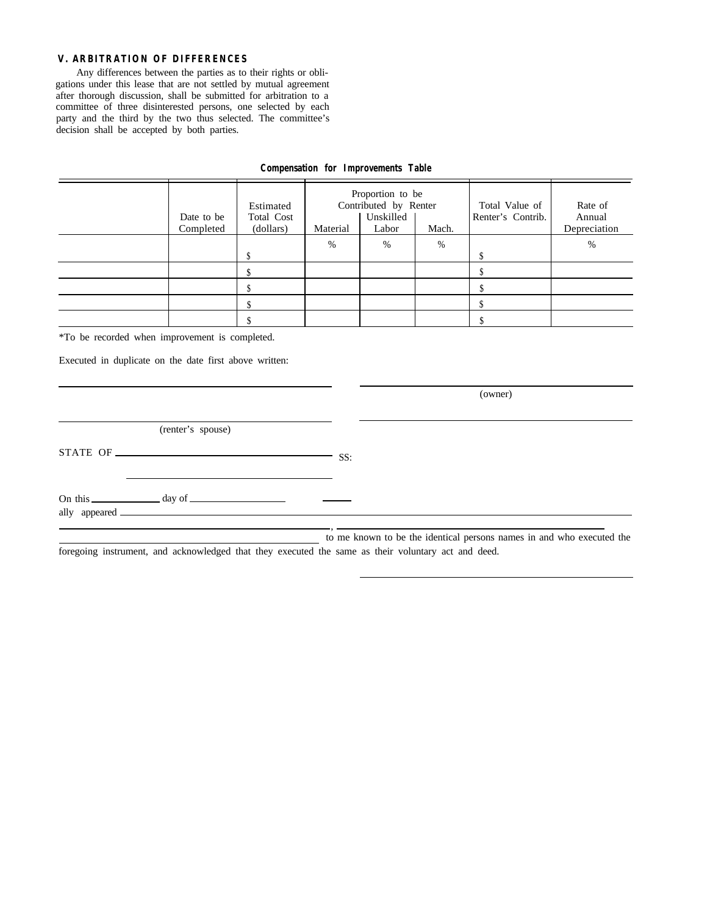#### **V. ARBITRATION OF DIFFERENCES**

Any differences between the parties as to their rights or obligations under this lease that are not settled by mutual agreement after thorough discussion, shall be submitted for arbitration to a committee of three disinterested persons, one selected by each party and the third by the two thus selected. The committee's decision shall be accepted by both parties.

| Date to be<br>Completed | Estimated<br>Total Cost<br>(dollars) | Proportion to be<br>Contributed by Renter<br>Unskilled<br>Material<br>Mach.<br>Labor |   | Total Value of<br>Renter's Contrib. | Rate of<br>Annual<br>Depreciation |   |
|-------------------------|--------------------------------------|--------------------------------------------------------------------------------------|---|-------------------------------------|-----------------------------------|---|
|                         |                                      | %                                                                                    | % | %                                   |                                   | % |
|                         |                                      |                                                                                      |   |                                     |                                   |   |
|                         |                                      |                                                                                      |   |                                     |                                   |   |
|                         |                                      |                                                                                      |   |                                     |                                   |   |
|                         |                                      |                                                                                      |   |                                     |                                   |   |

### **Compensation for Improvements Table**

\*To be recorded when improvement is completed.

Executed in duplicate on the date first above written:

(owner) (renter's spouse) STATE OF SS: On this day of ally appeared , to me known to be the identical persons names in and who executed the

foregoing instrument, and acknowledged that they executed the same as their voluntary act and deed.